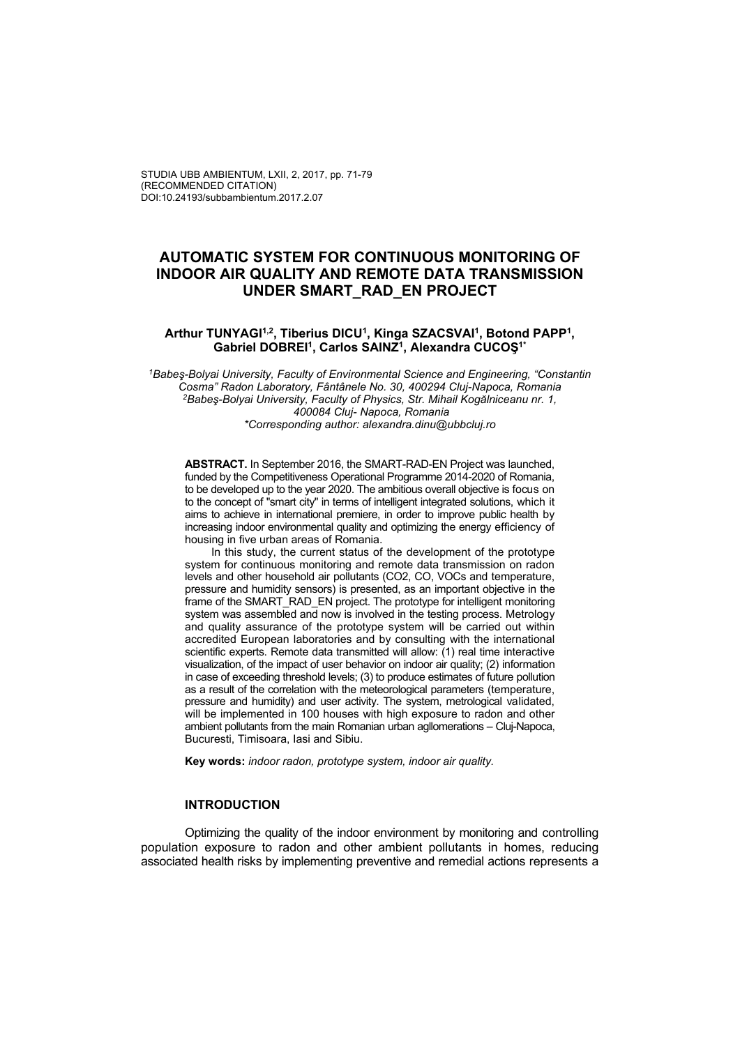# **AUTOMATIC SYSTEM FOR CONTINUOUS MONITORING OF INDOOR AIR QUALITY AND REMOTE DATA TRANSMISSION UNDER SMART\_RAD\_EN PROJECT**

#### Arthur TUNYAGI<sup>1,2</sup>, Tiberius DICU<sup>1</sup>, Kinga SZACSVAI<sup>1</sup>, Botond PAPP<sup>1</sup>, **Gabriel DOBREI1, Carlos SAINZ1, Alexandra CUCOŞ1\***

*1Babeş-Bolyai University, Faculty of Environmental Science and Engineering, "Constantin Cosma" Radon Laboratory, Fântânele No. 30, 400294 Cluj-Napoca, Romania 2Babeş-Bolyai University, Faculty of Physics, Str. Mihail Kogălniceanu nr. 1, 400084 Cluj- Napoca, Romania \*Corresponding author: alexandra.dinu@ubbcluj.ro*

**ABSTRACT.** In September 2016, the SMART-RAD-EN Project was launched, funded by the Competitiveness Operational Programme 2014-2020 of Romania, to be developed up to the year 2020. The ambitious overall objective is focus on to the concept of "smart city" in terms of intelligent integrated solutions, which it aims to achieve in international premiere, in order to improve public health by increasing indoor environmental quality and optimizing the energy efficiency of housing in five urban areas of Romania.

In this study, the current status of the development of the prototype system for continuous monitoring and remote data transmission on radon levels and other household air pollutants (CO2, CO, VOCs and temperature, pressure and humidity sensors) is presented, as an important objective in the frame of the SMART\_RAD\_EN project. The prototype for intelligent monitoring system was assembled and now is involved in the testing process. Metrology and quality assurance of the prototype system will be carried out within accredited European laboratories and by consulting with the international scientific experts. Remote data transmitted will allow: (1) real time interactive visualization, of the impact of user behavior on indoor air quality; (2) information in case of exceeding threshold levels; (3) to produce estimates of future pollution as a result of the correlation with the meteorological parameters (temperature, pressure and humidity) and user activity. The system, metrological validated, will be implemented in 100 houses with high exposure to radon and other ambient pollutants from the main Romanian urban agllomerations – Cluj-Napoca, Bucuresti, Timisoara, Iasi and Sibiu.

**Key words:** *indoor radon, prototype system, indoor air quality.*

#### **INTRODUCTION**

Optimizing the quality of the indoor environment by monitoring and controlling population exposure to radon and other ambient pollutants in homes, reducing associated health risks by implementing preventive and remedial actions represents a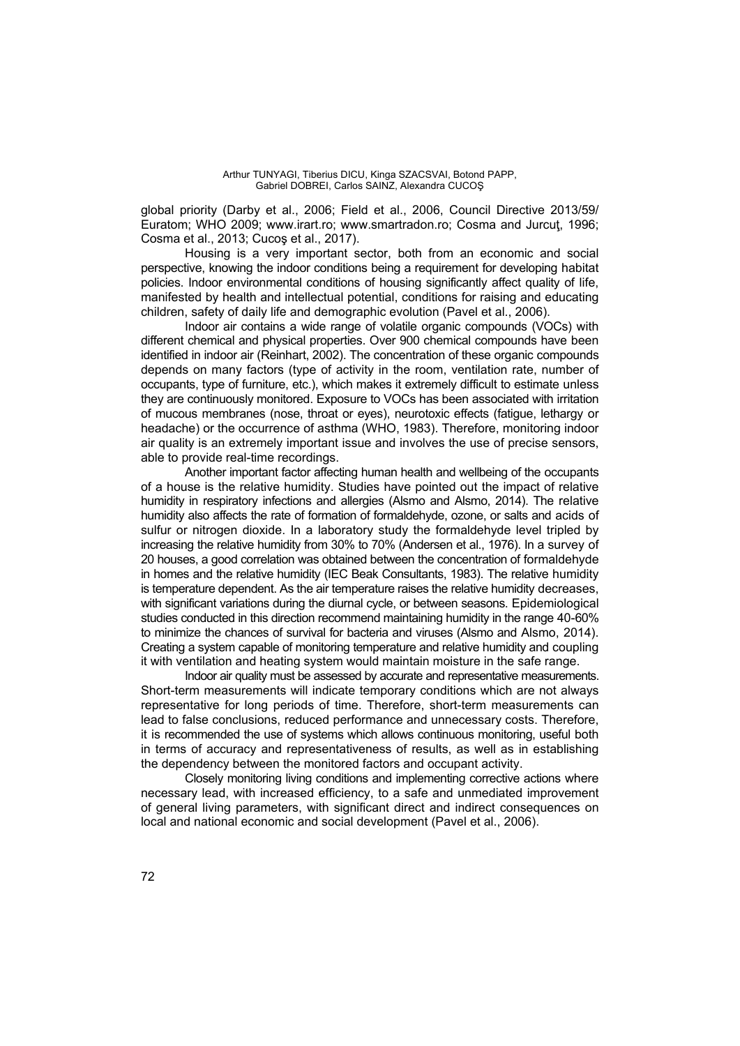global priority (Darby et al., 2006; Field et al., 2006, Council Directive 2013/59/ Euratom; WHO 2009; www.irart.ro; www.smartradon.ro; Cosma and Jurcut, 1996; Cosma et al., 2013; Cucoş et al., 2017).

Housing is a very important sector, both from an economic and social perspective, knowing the indoor conditions being a requirement for developing habitat policies. Indoor environmental conditions of housing significantly affect quality of life, manifested by health and intellectual potential, conditions for raising and educating children, safety of daily life and demographic evolution (Pavel et al., 2006).

Indoor air contains a wide range of volatile organic compounds (VOCs) with different chemical and physical properties. Over 900 chemical compounds have been identified in indoor air (Reinhart, 2002). The concentration of these organic compounds depends on many factors (type of activity in the room, ventilation rate, number of occupants, type of furniture, etc.), which makes it extremely difficult to estimate unless they are continuously monitored. Exposure to VOCs has been associated with irritation of mucous membranes (nose, throat or eyes), neurotoxic effects (fatigue, lethargy or headache) or the occurrence of asthma (WHO, 1983). Therefore, monitoring indoor air quality is an extremely important issue and involves the use of precise sensors, able to provide real-time recordings.

Another important factor affecting human health and wellbeing of the occupants of a house is the relative humidity. Studies have pointed out the impact of relative humidity in respiratory infections and allergies (Alsmo and Alsmo, 2014). The relative humidity also affects the rate of formation of formaldehyde, ozone, or salts and acids of sulfur or nitrogen dioxide. In a laboratory study the formaldehyde level tripled by increasing the relative humidity from 30% to 70% (Andersen et al., 1976). In a survey of 20 houses, a good correlation was obtained between the concentration of formaldehyde in homes and the relative humidity (IEC Beak Consultants, 1983). The relative humidity is temperature dependent. As the air temperature raises the relative humidity decreases, with significant variations during the diurnal cycle, or between seasons. Epidemiological studies conducted in this direction recommend maintaining humidity in the range 40-60% to minimize the chances of survival for bacteria and viruses (Alsmo and Alsmo, 2014). Creating a system capable of monitoring temperature and relative humidity and coupling it with ventilation and heating system would maintain moisture in the safe range.

Indoor air quality must be assessed by accurate and representative measurements. Short-term measurements will indicate temporary conditions which are not always representative for long periods of time. Therefore, short-term measurements can lead to false conclusions, reduced performance and unnecessary costs. Therefore, it is recommended the use of systems which allows continuous monitoring, useful both in terms of accuracy and representativeness of results, as well as in establishing the dependency between the monitored factors and occupant activity.

Closely monitoring living conditions and implementing corrective actions where necessary lead, with increased efficiency, to a safe and unmediated improvement of general living parameters, with significant direct and indirect consequences on local and national economic and social development (Pavel et al., 2006).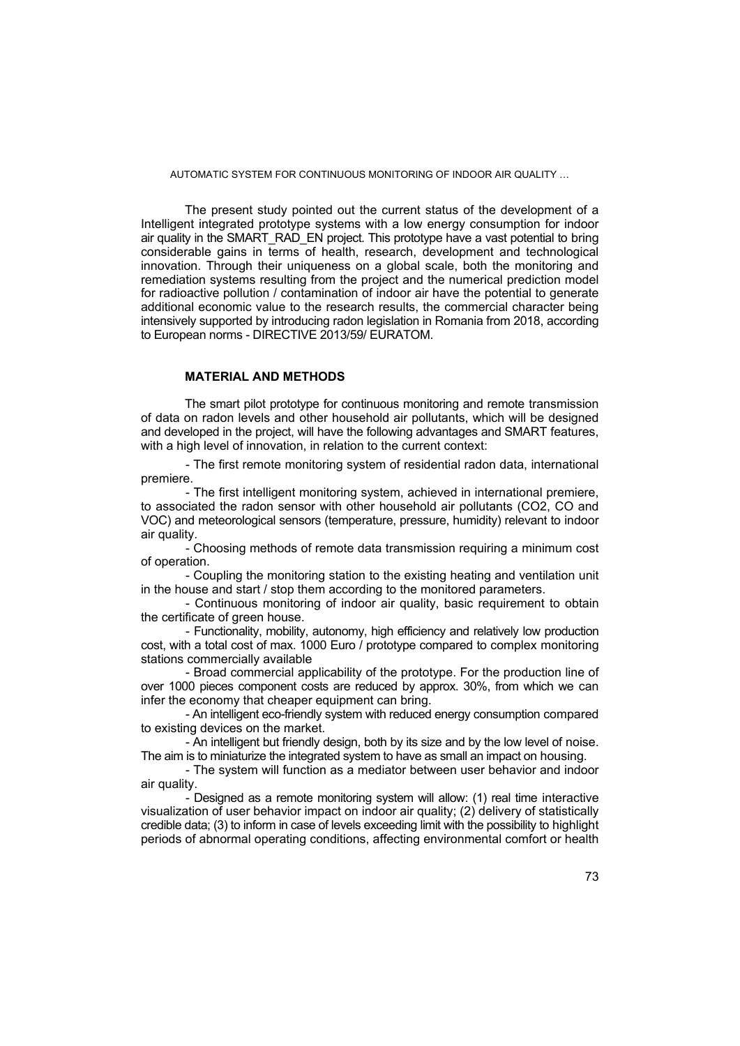The present study pointed out the current status of the development of a Intelligent integrated prototype systems with a low energy consumption for indoor air quality in the SMART\_RAD\_EN project. This prototype have a vast potential to bring considerable gains in terms of health, research, development and technological innovation. Through their uniqueness on a global scale, both the monitoring and remediation systems resulting from the project and the numerical prediction model for radioactive pollution / contamination of indoor air have the potential to generate additional economic value to the research results, the commercial character being intensively supported by introducing radon legislation in Romania from 2018, according to European norms - DIRECTIVE 2013/59/ EURATOM.

### **MATERIAL AND METHODS**

The smart pilot prototype for continuous monitoring and remote transmission of data on radon levels and other household air pollutants, which will be designed and developed in the project, will have the following advantages and SMART features, with a high level of innovation, in relation to the current context:

- The first remote monitoring system of residential radon data, international premiere.

- The first intelligent monitoring system, achieved in international premiere, to associated the radon sensor with other household air pollutants (CO2, CO and VOC) and meteorological sensors (temperature, pressure, humidity) relevant to indoor air quality.

- Choosing methods of remote data transmission requiring a minimum cost of operation.

- Coupling the monitoring station to the existing heating and ventilation unit in the house and start / stop them according to the monitored parameters.

- Continuous monitoring of indoor air quality, basic requirement to obtain the certificate of green house.

- Functionality, mobility, autonomy, high efficiency and relatively low production cost, with a total cost of max. 1000 Euro / prototype compared to complex monitoring stations commercially available

- Broad commercial applicability of the prototype. For the production line of over 1000 pieces component costs are reduced by approx. 30%, from which we can infer the economy that cheaper equipment can bring.

- An intelligent eco-friendly system with reduced energy consumption compared to existing devices on the market.

- An intelligent but friendly design, both by its size and by the low level of noise. The aim is to miniaturize the integrated system to have as small an impact on housing.

- The system will function as a mediator between user behavior and indoor air quality.

- Designed as a remote monitoring system will allow: (1) real time interactive visualization of user behavior impact on indoor air quality; (2) delivery of statistically credible data; (3) to inform in case of levels exceeding limit with the possibility to highlight periods of abnormal operating conditions, affecting environmental comfort or health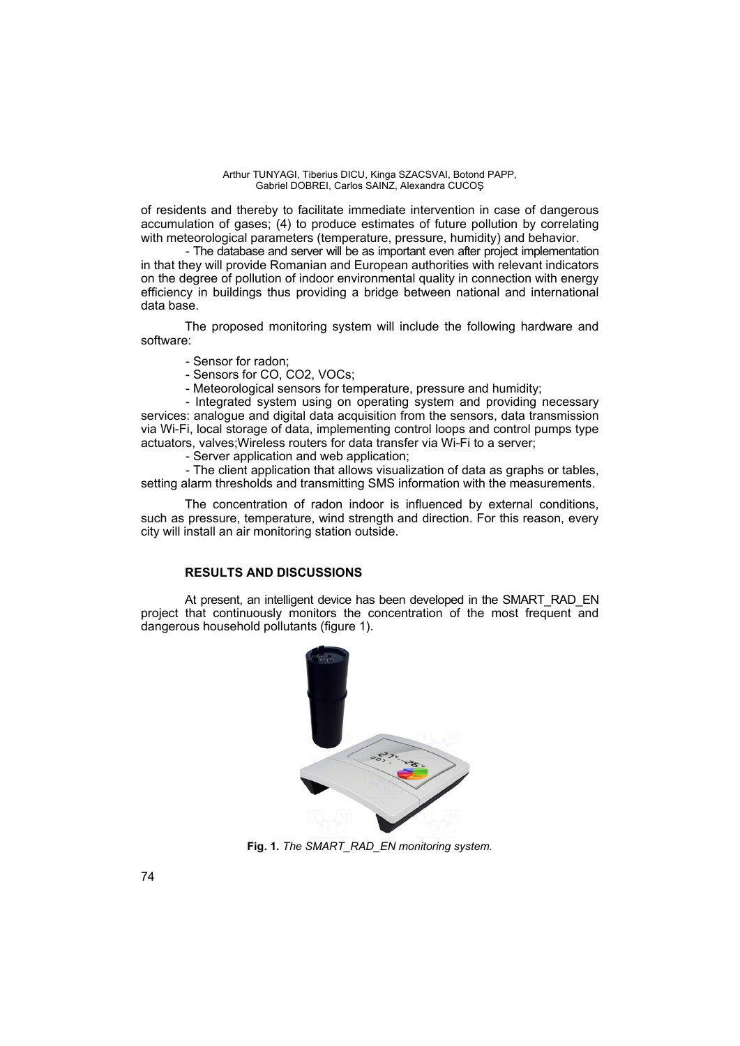of residents and thereby to facilitate immediate intervention in case of dangerous accumulation of gases; (4) to produce estimates of future pollution by correlating with meteorological parameters (temperature, pressure, humidity) and behavior.

- The database and server will be as important even after project implementation in that they will provide Romanian and European authorities with relevant indicators on the degree of pollution of indoor environmental quality in connection with energy efficiency in buildings thus providing a bridge between national and international data base.

The proposed monitoring system will include the following hardware and software:

- Sensor for radon;
- Sensors for CO, CO2, VOCs;
- Meteorological sensors for temperature, pressure and humidity;

- Integrated system using on operating system and providing necessary services: analogue and digital data acquisition from the sensors, data transmission via Wi-Fi, local storage of data, implementing control loops and control pumps type actuators, valves;Wireless routers for data transfer via Wi-Fi to a server;

- Server application and web application;

- The client application that allows visualization of data as graphs or tables, setting alarm thresholds and transmitting SMS information with the measurements.

The concentration of radon indoor is influenced by external conditions, such as pressure, temperature, wind strength and direction. For this reason, every city will install an air monitoring station outside.

### **RESULTS AND DISCUSSIONS**

At present, an intelligent device has been developed in the SMART\_RAD\_EN project that continuously monitors the concentration of the most frequent and dangerous household pollutants (figure 1).



**Fig. 1.** *The SMART\_RAD\_EN monitoring system.*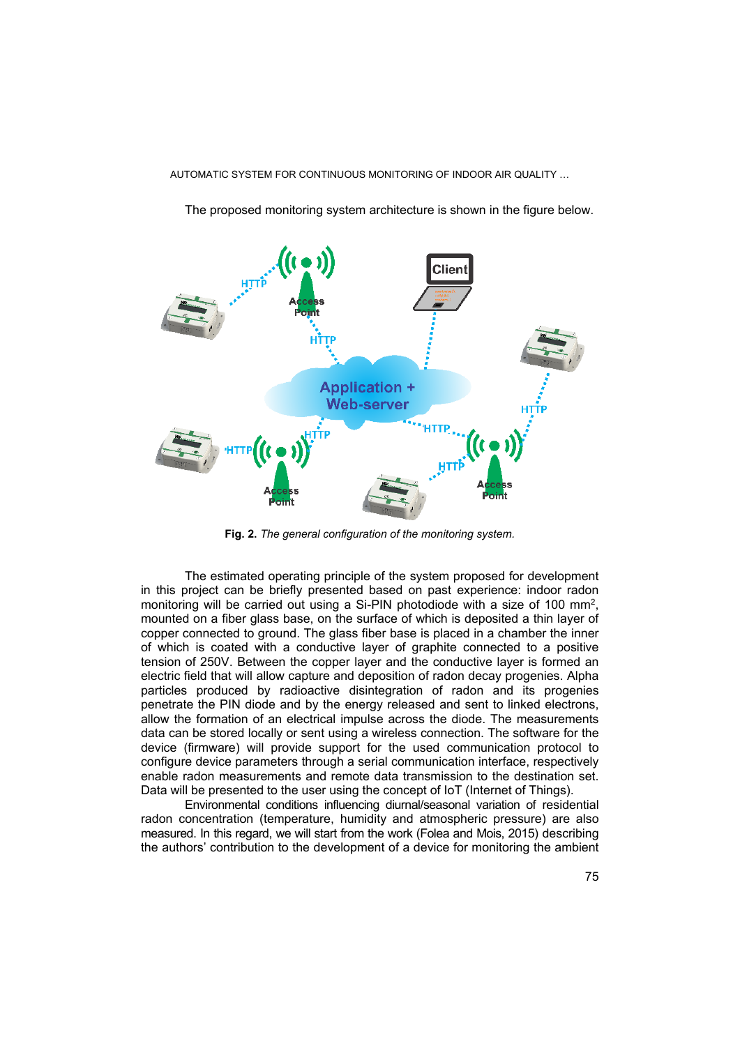

The proposed monitoring system architecture is shown in the figure below.

**Fig. 2.** *The general configuration of the monitoring system.*

The estimated operating principle of the system proposed for development in this project can be briefly presented based on past experience: indoor radon monitoring will be carried out using a Si-PIN photodiode with a size of 100  $mm<sup>2</sup>$ , mounted on a fiber glass base, on the surface of which is deposited a thin layer of copper connected to ground. The glass fiber base is placed in a chamber the inner of which is coated with a conductive layer of graphite connected to a positive tension of 250V. Between the copper layer and the conductive layer is formed an electric field that will allow capture and deposition of radon decay progenies. Alpha particles produced by radioactive disintegration of radon and its progenies penetrate the PIN diode and by the energy released and sent to linked electrons, allow the formation of an electrical impulse across the diode. The measurements data can be stored locally or sent using a wireless connection. The software for the device (firmware) will provide support for the used communication protocol to configure device parameters through a serial communication interface, respectively enable radon measurements and remote data transmission to the destination set. Data will be presented to the user using the concept of IoT (Internet of Things).

Environmental conditions influencing diurnal/seasonal variation of residential radon concentration (temperature, humidity and atmospheric pressure) are also measured. In this regard, we will start from the work (Folea and Mois, 2015) describing the authors' contribution to the development of a device for monitoring the ambient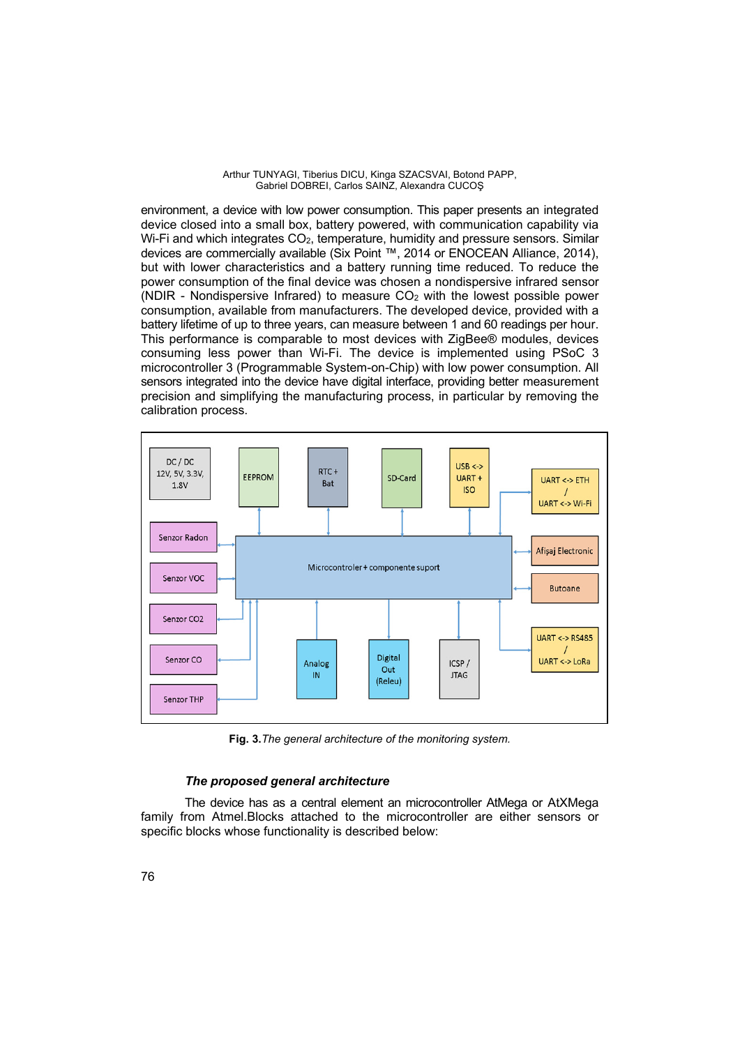Arthur TUNYAGI, Tiberius DICU, Kinga SZACSVAI, Botond PAPP, Gabriel DOBREI, Carlos SAINZ, Alexandra CUCOŞ

environment, a device with low power consumption. This paper presents an integrated device closed into a small box, battery powered, with communication capability via Wi-Fi and which integrates CO<sub>2</sub>, temperature, humidity and pressure sensors. Similar devices are commercially available (Six Point ™, 2014 or ENOCEAN Alliance, 2014), but with lower characteristics and a battery running time reduced. To reduce the power consumption of the final device was chosen a nondispersive infrared sensor (NDIR - Nondispersive Infrared) to measure  $CO<sub>2</sub>$  with the lowest possible power consumption, available from manufacturers. The developed device, provided with a battery lifetime of up to three years, can measure between 1 and 60 readings per hour. This performance is comparable to most devices with ZigBee® modules, devices consuming less power than Wi-Fi. The device is implemented using PSoC 3 microcontroller 3 (Programmable System-on-Chip) with low power consumption. All sensors integrated into the device have digital interface, providing better measurement precision and simplifying the manufacturing process, in particular by removing the calibration process.



**Fig. 3.***The general architecture of the monitoring system.*

## *The proposed general architecture*

The device has as a central element an microcontroller AtMega or AtXMega family from Atmel.Blocks attached to the microcontroller are either sensors or specific blocks whose functionality is described below: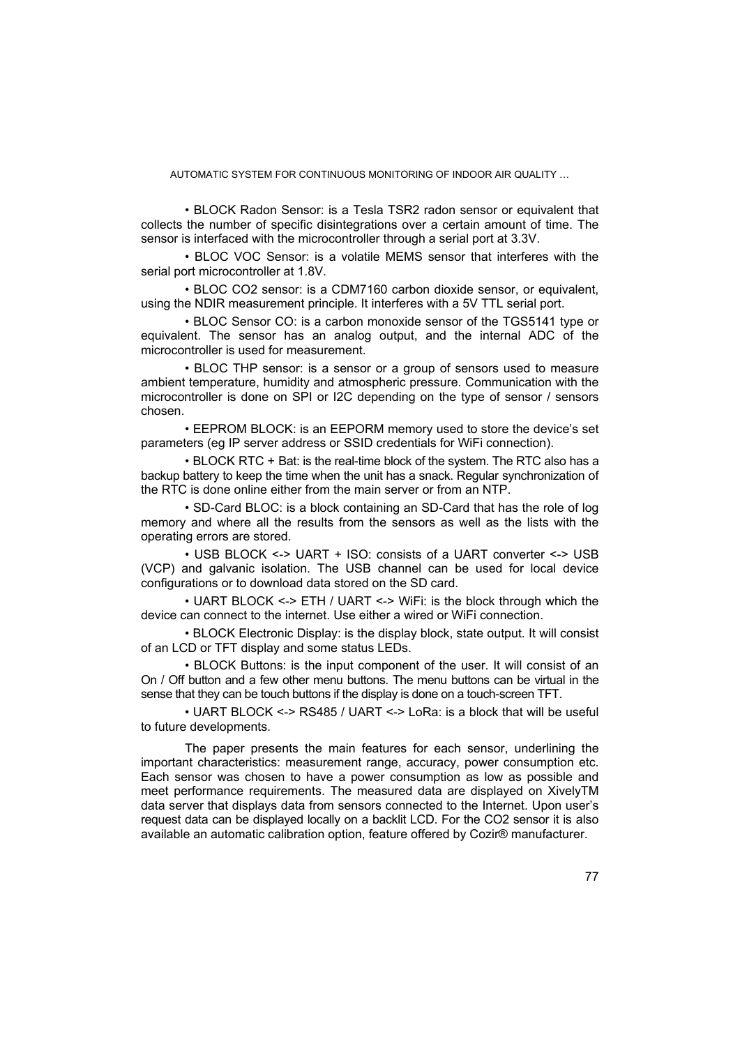• BLOCK Radon Sensor: is a Tesla TSR2 radon sensor or equivalent that collects the number of specific disintegrations over a certain amount of time. The sensor is interfaced with the microcontroller through a serial port at 3.3V.

• BLOC VOC Sensor: is a volatile MEMS sensor that interferes with the serial port microcontroller at 1.8V.

• BLOC CO2 sensor: is a CDM7160 carbon dioxide sensor, or equivalent, using the NDIR measurement principle. It interferes with a 5V TTL serial port.

• BLOC Sensor CO: is a carbon monoxide sensor of the TGS5141 type or equivalent. The sensor has an analog output, and the internal ADC of the microcontroller is used for measurement.

• BLOC THP sensor: is a sensor or a group of sensors used to measure ambient temperature, humidity and atmospheric pressure. Communication with the microcontroller is done on SPI or I2C depending on the type of sensor / sensors chosen.

• EEPROM BLOCK: is an EEPORM memory used to store the device's set parameters (eg IP server address or SSID credentials for WiFi connection).

• BLOCK RTC + Bat: is the real-time block of the system. The RTC also has a backup battery to keep the time when the unit has a snack. Regular synchronization of the RTC is done online either from the main server or from an NTP.

• SD-Card BLOC: is a block containing an SD-Card that has the role of log memory and where all the results from the sensors as well as the lists with the operating errors are stored.

• USB BLOCK <-> UART + ISO: consists of a UART converter <-> USB (VCP) and galvanic isolation. The USB channel can be used for local device configurations or to download data stored on the SD card.

• UART BLOCK <-> ETH / UART <-> WiFi: is the block through which the device can connect to the internet. Use either a wired or WiFi connection.

• BLOCK Electronic Display: is the display block, state output. It will consist of an LCD or TFT display and some status LEDs.

• BLOCK Buttons: is the input component of the user. It will consist of an On / Off button and a few other menu buttons. The menu buttons can be virtual in the sense that they can be touch buttons if the display is done on a touch-screen TFT.

• UART BLOCK <-> RS485 / UART <-> LoRa: is a block that will be useful to future developments.

The paper presents the main features for each sensor, underlining the important characteristics: measurement range, accuracy, power consumption etc. Each sensor was chosen to have a power consumption as low as possible and meet performance requirements. The measured data are displayed on XivelyTM data server that displays data from sensors connected to the Internet. Upon user's request data can be displayed locally on a backlit LCD. For the CO2 sensor it is also available an automatic calibration option, feature offered by Cozir® manufacturer.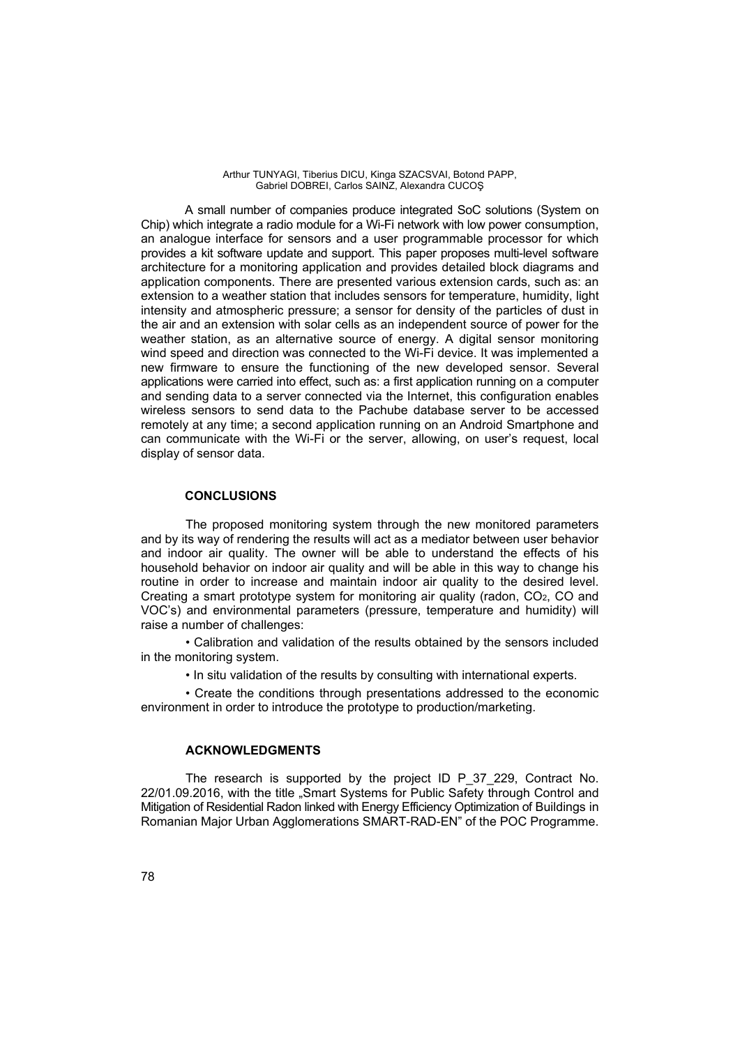Arthur TUNYAGI, Tiberius DICU, Kinga SZACSVAI, Botond PAPP, Gabriel DOBREI, Carlos SAINZ, Alexandra CUCOŞ

A small number of companies produce integrated SoC solutions (System on Chip) which integrate a radio module for a Wi-Fi network with low power consumption, an analogue interface for sensors and a user programmable processor for which provides a kit software update and support. This paper proposes multi-level software architecture for a monitoring application and provides detailed block diagrams and application components. There are presented various extension cards, such as: an extension to a weather station that includes sensors for temperature, humidity, light intensity and atmospheric pressure; a sensor for density of the particles of dust in the air and an extension with solar cells as an independent source of power for the weather station, as an alternative source of energy. A digital sensor monitoring wind speed and direction was connected to the Wi-Fi device. It was implemented a new firmware to ensure the functioning of the new developed sensor. Several applications were carried into effect, such as: a first application running on a computer and sending data to a server connected via the Internet, this configuration enables wireless sensors to send data to the Pachube database server to be accessed remotely at any time; a second application running on an Android Smartphone and can communicate with the Wi-Fi or the server, allowing, on user's request, local display of sensor data.

### **CONCLUSIONS**

The proposed monitoring system through the new monitored parameters and by its way of rendering the results will act as a mediator between user behavior and indoor air quality. The owner will be able to understand the effects of his household behavior on indoor air quality and will be able in this way to change his routine in order to increase and maintain indoor air quality to the desired level. Creating a smart prototype system for monitoring air quality (radon,  $CO<sub>2</sub>$ , CO and VOC's) and environmental parameters (pressure, temperature and humidity) will raise a number of challenges:

• Calibration and validation of the results obtained by the sensors included in the monitoring system.

• In situ validation of the results by consulting with international experts.

• Create the conditions through presentations addressed to the economic environment in order to introduce the prototype to production/marketing.

### **ACKNOWLEDGMENTS**

The research is supported by the project ID P 37 229, Contract No. 22/01.09.2016, with the title "Smart Systems for Public Safety through Control and Mitigation of Residential Radon linked with Energy Efficiency Optimization of Buildings in Romanian Major Urban Agglomerations SMART-RAD-EN" of the POC Programme.